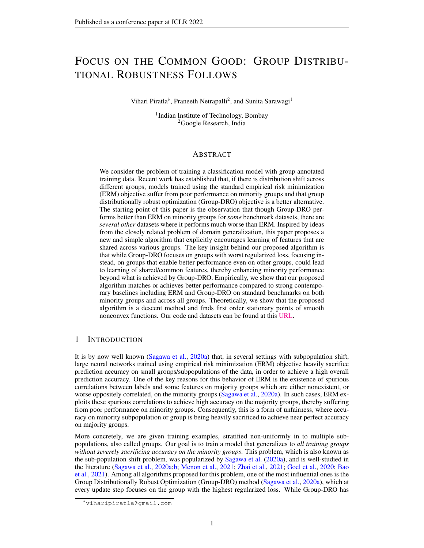# FOCUS ON THE COMMON GOOD: GROUP DISTRIBU-TIONAL ROBUSTNESS FOLLOWS

### Vihari Piratla<sup>\*</sup>, Praneeth Netrapalli<sup>2</sup>, and Sunita Sarawagi<sup>1</sup>

<sup>1</sup>Indian Institute of Technology, Bombay <sup>2</sup>Google Research, India

### ABSTRACT

We consider the problem of training a classification model with group annotated training data. Recent work has established that, if there is distribution shift across different groups, models trained using the standard empirical risk minimization (ERM) objective suffer from poor performance on minority groups and that group distributionally robust optimization (Group-DRO) objective is a better alternative. The starting point of this paper is the observation that though Group-DRO performs better than ERM on minority groups for *some* benchmark datasets, there are *several other* datasets where it performs much worse than ERM. Inspired by ideas from the closely related problem of domain generalization, this paper proposes a new and simple algorithm that explicitly encourages learning of features that are shared across various groups. The key insight behind our proposed algorithm is that while Group-DRO focuses on groups with worst regularized loss, focusing instead, on groups that enable better performance even on other groups, could lead to learning of shared/common features, thereby enhancing minority performance beyond what is achieved by Group-DRO. Empirically, we show that our proposed algorithm matches or achieves better performance compared to strong contemporary baselines including ERM and Group-DRO on standard benchmarks on both minority groups and across all groups. Theoretically, we show that the proposed algorithm is a descent method and finds first order stationary points of smooth nonconvex functions. Our code and datasets can be found at this [URL.](https://github.com/vihari/cgd)

### <span id="page-0-0"></span>1 INTRODUCTION

It is by now well known [\(Sagawa et al.,](#page-10-0) [2020a\)](#page-10-0) that, in several settings with subpopulation shift, large neural networks trained using empirical risk minimization (ERM) objective heavily sacrifice prediction accuracy on small groups/subpopulations of the data, in order to achieve a high overall prediction accuracy. One of the key reasons for this behavior of ERM is the existence of spurious correlations between labels and some features on majority groups which are either nonexistent, or worse oppositely correlated, on the minority groups [\(Sagawa et al.,](#page-10-0) [2020a\)](#page-10-0). In such cases, ERM exploits these spurious correlations to achieve high accuracy on the majority groups, thereby suffering from poor performance on minority groups. Consequently, this is a form of unfairness, where accuracy on minority subpopulation or group is being heavily sacrificed to achieve near perfect accuracy on majority groups.

More concretely, we are given training examples, stratified non-uniformly in to multiple subpopulations, also called groups. Our goal is to train a model that generalizes to *all training groups without severely sacrificing accuracy on the minority groups*. This problem, which is also known as the sub-population shift problem, was popularized by [Sagawa et al.](#page-10-0) [\(2020a\)](#page-10-0), and is well-studied in the literature [\(Sagawa et al.,](#page-10-0) [2020a](#page-10-0)[;b;](#page-10-1) [Menon et al.,](#page-10-2) [2021;](#page-10-2) [Zhai et al.,](#page-10-3) [2021;](#page-10-3) [Goel et al.,](#page-9-0) [2020;](#page-9-0) [Bao](#page-9-1) [et al.,](#page-9-1) [2021\)](#page-9-1). Among all algorithms proposed for this problem, one of the most influential ones is the Group Distributionally Robust Optimization (Group-DRO) method [\(Sagawa et al.,](#page-10-0) [2020a\)](#page-10-0), which at every update step focuses on the group with the highest regularized loss. While Group-DRO has

<sup>∗</sup>viharipiratla@gmail.com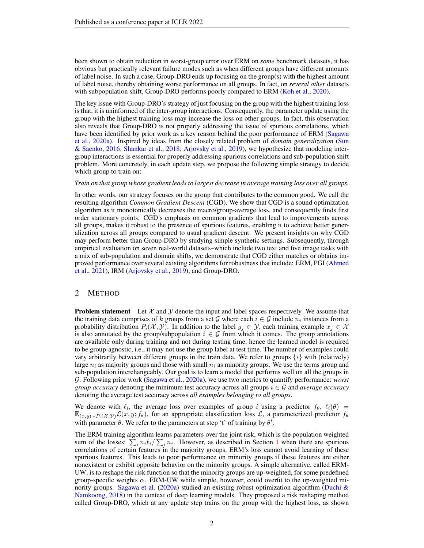been shown to obtain reduction in worst-group error over ERM on *some* benchmark datasets, it has obvious but practically relevant failure modes such as when different groups have different amounts of label noise. In such a case, Group-DRO ends up focusing on the group(s) with the highest amount of label noise, thereby obtaining worse performance on all groups. In fact, on *several other* datasets with subpopulation shift, Group-DRO performs poorly compared to ERM [\(Koh et al.,](#page-10-4) [2020\)](#page-10-4).

The key issue with Group-DRO's strategy of just focusing on the group with the highest training loss is that, it is uninformed of the inter-group interactions. Consequently, the parameter update using the group with the highest training loss may increase the loss on other groups. In fact, this observation also reveals that Group-DRO is not properly addressing the issue of spurious correlations, which have been identified by prior work as a key reason behind the poor performance of ERM [\(Sagawa](#page-10-0) [et al.,](#page-10-0) [2020a\)](#page-10-0). Inspired by ideas from the closely related problem of *domain generalization* [\(Sun](#page-10-5) [& Saenko,](#page-10-5) [2016;](#page-10-5) [Shankar et al.,](#page-10-6) [2018;](#page-10-6) [Arjovsky et al.,](#page-9-2) [2019\)](#page-9-2), we hypothesize that modeling intergroup interactions is essential for properly addressing spurious correlations and sub-population shift problem. More concretely, in each update step, we propose the following simple strategy to decide which group to train on:

#### *Train on that group whose gradient leads to largest decrease in average training loss over all groups.*

In other words, our strategy focuses on the group that contributes to the common good. We call the resulting algorithm *Common Gradient Descent* (CGD). We show that CGD is a sound optimization algorithm as it monotonically decreases the macro/group-average loss, and consequently finds first order stationary points. CGD's emphasis on common gradients that lead to improvements across all groups, makes it robust to the presence of spurious features, enabling it to achieve better generalization across all groups compared to usual gradient descent. We present insights on why CGD may perform better than Group-DRO by studying simple synthetic settings. Subsequently, through empirical evaluation on seven real-world datasets–which include two text and five image tasks with a mix of sub-population and domain shifts, we demonstrate that CGD either matches or obtains improved performance over several existing algorithms for robustness that include: ERM, PGI [\(Ahmed](#page-9-3) [et al.,](#page-9-3) [2021\)](#page-9-3), IRM [\(Arjovsky et al.,](#page-9-2) [2019\)](#page-9-2), and Group-DRO.

### <span id="page-1-0"></span>2 METHOD

**Problem statement** Let  $\mathcal{X}$  and  $\mathcal{Y}$  denote the input and label spaces respectively. We assume that the training data comprises of k groups from a set G where each  $i \in \mathcal{G}$  include  $n_i$  instances from a probability distribution  $P_i(\mathcal{X}, \mathcal{Y})$ . In addition to the label  $y_j \in \mathcal{Y}$ , each training example  $x_j \in \mathcal{X}$ is also annotated by the group/subpopulation  $i \in \mathcal{G}$  from which it comes. The group annotations are available only during training and not during testing time, hence the learned model is required to be group-agnostic, i.e., it may not use the group label at test time. The number of examples could vary arbitrarily between different groups in the train data. We refer to groups  $\{i\}$  with (relatively) large  $n_i$  as majority groups and those with small  $n_i$  as minority groups. We use the terms group and sub-population interchangeably. Our goal is to learn a model that performs well on all the groups in G. Following prior work [\(Sagawa et al.,](#page-10-0) [2020a\)](#page-10-0), we use two metrics to quantify performance: *worst group accuracy* denoting the minimum test accuracy across all groups  $i \in \mathcal{G}$  and *average accuracy* denoting the average test accuracy across *all examples belonging to all groups*.

We denote with  $\ell_i$ , the average loss over examples of group i using a predictor  $f_\theta$ ,  $\ell_i(\theta)$  =  $\mathbb{E}_{(x,y)\sim P_i(\mathcal{X},\mathcal{Y})}\mathcal{L}(x,y;f_\theta)$ , for an appropriate classification loss  $\mathcal{L}$ , a parameterized predictor  $f_\theta$ with parameter  $\theta$ . We refer to the parameters at step 't' of training by  $\theta^t$ .

The ERM training algorithm learns parameters over the joint risk, which is the population weighted sum of the losses:  $\sum_i n_i \ell_i / \sum_i n_i$ . However, as described in Section [1](#page-0-0) when there are spurious correlations of certain features in the majority groups, ERM's loss cannot avoid learning of these spurious features. This leads to poor performance on minority groups if these features are either nonexistent or exhibit opposite behavior on the minority groups. A simple alternative, called ERM-UW, is to reshape the risk function so that the minority groups are up-weighted, for some predefined group-specific weights  $\alpha$ . ERM-UW while simple, however, could overfit to the up-weighted mi-nority groups. [Sagawa et al.](#page-10-0) [\(2020a\)](#page-10-0) studied an existing robust optimization algorithm [\(Duchi &](#page-9-4) [Namkoong,](#page-9-4) [2018\)](#page-9-4) in the context of deep learning models. They proposed a risk reshaping method called Group-DRO, which at any update step trains on the group with the highest loss, as shown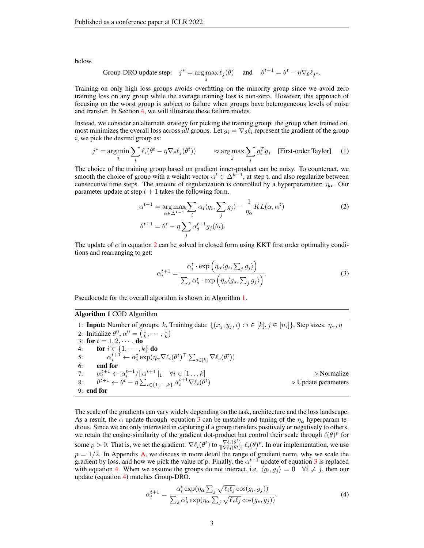below.

Group-DRO update step: 
$$
j^* = \arg \max_j \ell_j(\theta)
$$
 and  $\theta^{t+1} = \theta^t - \eta \nabla_{\theta} \ell_{j^*}$ .

Training on only high loss groups avoids overfitting on the minority group since we avoid zero training loss on any group while the average training loss is non-zero. However, this approach of focusing on the worst group is subject to failure when groups have heterogeneous levels of noise and transfer. In Section [4,](#page-4-0) we will illustrate these failure modes.

Instead, we consider an alternate strategy for picking the training group: the group when trained on, most minimizes the overall loss across *all* groups. Let  $g_i = \nabla_{\theta} \ell_i$  represent the gradient of the group  $i$ , we pick the desired group as:

$$
j^* = \underset{j}{\arg\min} \sum_i \ell_i(\theta^t - \eta \nabla_{\theta} \ell_j(\theta^t)) \qquad \approx \underset{j}{\arg\max} \sum_i g_i^T g_j \quad \text{[First-order Taylor]} \quad (1)
$$

The choice of the training group based on gradient inner-product can be noisy. To counteract, we smooth the choice of group with a weight vector  $\alpha^t \in \Delta^{k-1}$ , at step t, and also regularize between consecutive time steps. The amount of regularization is controlled by a hyperparameter:  $\eta_{\alpha}$ . Our parameter update at step  $t + 1$  takes the following form.

$$
\alpha^{t+1} = \underset{\alpha \in \Delta^{k-1}}{\arg \max} \sum_{i} \alpha_i \langle g_i, \sum_{j} g_j \rangle - \frac{1}{\eta_{\alpha}} KL(\alpha, \alpha^t)
$$
\n
$$
\theta^{t+1} = \theta^t - \eta \sum_{j} \alpha_j^{t+1} g_j(\theta_t).
$$
\n(2)

The update of  $\alpha$  in equation [2](#page-2-0) can be solved in closed form using KKT first order optimality conditions and rearranging to get:

<span id="page-2-2"></span><span id="page-2-0"></span>
$$
\alpha_i^{t+1} = \frac{\alpha_i^t \cdot \exp\left(\eta_\alpha \langle g_i, \sum_j g_j \rangle\right)}{\sum_s \alpha_s^t \cdot \exp\left(\eta_\alpha \langle g_s, \sum_j g_j \rangle\right)}.
$$
\n(3)

Pseudocode for the overall algorithm is shown in Algorithm [1.](#page-2-1)

#### <span id="page-2-1"></span>Algorithm 1 CGD Algorithm

1: **Input:** Number of groups: k, Training data:  $\{(x_j, y_j, i) : i \in [k], j \in [n_i]\}$ , Step sizes:  $\eta_\alpha$ ,  $\eta$ 2: Initialize  $\theta^0$ ,  $\alpha^0 = \left(\frac{1}{k}, \cdots, \frac{1}{k}\right)$ 3: for  $t = 1, 2, \cdots,$  do 4: **for**  $i \in \{1, \cdots, k\}$  do 5:  $\alpha_i^{t+1} \leftarrow \alpha_i^t \exp(\eta_\alpha \nabla \ell_i(\theta^t)^\top \sum_{s \in [k]} \nabla \ell_s(\theta^t))$ 6: end for 7:  $\alpha_i^{t+1} \leftarrow \alpha_i^{t+1} / ||\alpha^{t+1}||_1 \quad \forall i \in [1 \dots k]$   $\triangleright$  Normalize 8:  $\theta^{t+1} \leftarrow \theta^t - \eta \sum_{i \in \{1, \cdots, k\}} \alpha_i^{t+1} \nabla \ell_i(\theta^t)$  $\triangleright$  Update parameters 9: end for

The scale of the gradients can vary widely depending on the task, architecture and the loss landscape. As a result, the  $\alpha$  update through equation [3](#page-2-2) can be unstable and tuning of the  $\eta_{\alpha}$  hyperparam tedious. Since we are only interested in capturing if a group transfers positively or negatively to others, we retain the cosine-similarity of the gradient dot-product but control their scale through  $\ell(\theta)^p$  for some  $p > 0$ . That is, we set the gradient:  $\nabla \ell_i(\theta^t)$  to  $\frac{\nabla \ell_i(\theta^t)}{\|\nabla \ell_i(\theta^t)\|}$  $\frac{\nabla \ell_i(\theta^{\nu})}{\|\nabla \ell_i(\theta^{\nu})\|} \ell_i(\theta)^p$ . In our implementation, we use  $p = 1/2$ . In Appendix [A,](#page-11-0) we discuss in more detail the range of gradient norm, why we scale the gradient by loss, and how we pick the value of p. Finally, the  $\alpha^{t+1}$  update of equation [3](#page-2-2) is replaced with equation [4.](#page-2-3) When we assume the groups do not interact, i.e.  $\langle g_i, g_j \rangle = 0 \quad \forall i \neq j$ , then our update (equation [4\)](#page-2-3) matches Group-DRO.

<span id="page-2-3"></span>
$$
\alpha_i^{t+1} = \frac{\alpha_i^t \exp(\eta_\alpha \sum_j \sqrt{\ell_i \ell_j} \cos(g_i, g_j))}{\sum_s \alpha_s^t \exp(\eta_\alpha \sum_j \sqrt{\ell_s \ell_j} \cos(g_s, g_j))}.
$$
\n(4)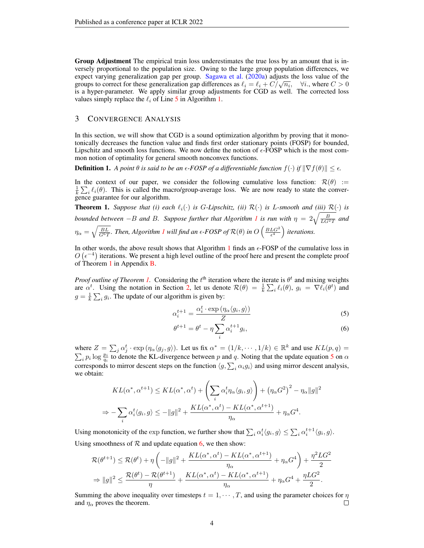Group Adjustment The empirical train loss underestimates the true loss by an amount that is inversely proportional to the population size. Owing to the large group population differences, we expect varying generalization gap per group. [Sagawa et al.](#page-10-0) [\(2020a\)](#page-10-0) adjusts the loss value of the expect varying generalization gap per group. Sagawa et al. (2020a) adjusts the loss value of the groups to correct for these generalization gap differences as  $\ell_i = \ell_i + C/\sqrt{n_i}$ ,  $\forall i$ , where  $C > 0$ is a hyper-parameter. We apply similar group adjustments for CGD as well. The corrected loss values simply replace the  $\ell_i$  of Line [5](#page-2-1) in Algorithm [1.](#page-2-1)

### 3 CONVERGENCE ANALYSIS

In this section, we will show that CGD is a sound optimization algorithm by proving that it monotonically decreases the function value and finds first order stationary points (FOSP) for bounded, Lipschitz and smooth loss functions. We now define the notion of  $\epsilon$ -FOSP which is the most common notion of optimality for general smooth nonconvex functions.

**Definition 1.** *A point*  $\theta$  *is said to be an*  $\epsilon$ -FOSP of a differentiable function  $f(\cdot)$  if  $\|\nabla f(\theta)\| \leq \epsilon$ .

In the context of our paper, we consider the following cumulative loss function:  $\mathcal{R}(\theta) :=$  $\frac{1}{k} \sum_i \ell_i(\theta)$ . This is called the macro/group-average loss. We are now ready to state the convergence guarantee for our algorithm.

<span id="page-3-0"></span>**Theorem 1.** *Suppose that (i) each*  $\ell_i(\cdot)$  *is G-Lipschitz, (ii)*  $\mathcal{R}(\cdot)$  *is L-smooth and (iii)*  $\mathcal{R}(\cdot)$  *is bounded between*  $-B$  *and B. Suppose further that Algorithm [1](#page-2-1) is run with*  $\eta = 2\sqrt{\frac{B}{LG^2T}}$  *and*  $\eta_{\alpha} = \sqrt{\frac{BL}{G^6T}}$ . Then, Algorithm [1](#page-2-1) will find an  $\epsilon$ -FOSP of  $\mathcal{R}(\theta)$  in  $O\left(\frac{BLG^2}{\epsilon^4}\right)$  iterations.

In other words, the above result shows that Algorithm [1](#page-2-1) finds an  $\epsilon$ -FOSP of the cumulative loss in  $O(\epsilon^{-4})$  iterations. We present a high level outline of the proof here and present the complete proof of Theorem [1](#page-3-0) in Appendix [B.](#page-11-1)

*Proof outline of Theorem [1.](#page-3-0)* Considering the  $t<sup>th</sup>$  iteration where the iterate is  $\theta^t$  and mixing weights are  $\alpha^t$ . Using the notation in Section [2,](#page-1-0) let us denote  $\mathcal{R}(\theta) = \frac{1}{k} \sum_i \ell_i(\theta)$ ,  $g_i = \nabla \ell_i(\theta^t)$  and  $g = \frac{1}{k} \sum_i g_i$ . The update of our algorithm is given by:

$$
\alpha_i^{t+1} = \frac{\alpha_i^t \cdot \exp\left(\eta_\alpha \langle g_i, g \rangle\right)}{Z} \tag{5}
$$

<span id="page-3-2"></span><span id="page-3-1"></span>
$$
\theta^{t+1} = \theta^t - \eta \sum_i \alpha_i^{t+1} g_i,\tag{6}
$$

where  $Z = \sum_j \alpha_j^t \cdot \exp(\eta_\alpha \langle g_j, g \rangle)$ . Let us fix  $\alpha^* = (1/k, \dots, 1/k) \in \mathbb{R}^k$  and use  $KL(p, q) =$  $\sum_i p_i \log \frac{p_i}{q_i}$  to denote the KL-divergence between p and q. Noting that the update equation [5](#page-3-1) on  $\alpha$ corresponds to mirror descent steps on the function  $\langle g, \sum_i \alpha_i g_i \rangle$  and using mirror descent analysis, we obtain:

$$
KL(\alpha^*, \alpha^{t+1}) \le KL(\alpha^*, \alpha^t) + \left(\sum_i \alpha_i^t \eta_\alpha \langle g_i, g \rangle\right) + \left(\eta_\alpha G^2\right)^2 - \eta_\alpha \|g\|^2
$$
  

$$
\Rightarrow -\sum_i \alpha_i^t \langle g_i, g \rangle \le -\|g\|^2 + \frac{KL(\alpha^*, \alpha^t) - KL(\alpha^*, \alpha^{t+1})}{\eta_\alpha} + \eta_\alpha G^4.
$$

Using monotonicity of the exp function, we further show that  $\sum_i \alpha_i^t \langle g_i, g \rangle \le \sum_i \alpha_i^{t+1} \langle g_i, g \rangle$ . Using smoothness of  $\mathcal R$  and update equation [6,](#page-3-2) we then show:

$$
\mathcal{R}(\theta^{t+1}) \leq \mathcal{R}(\theta^{t}) + \eta \left( -\|g\|^2 + \frac{KL(\alpha^*, \alpha^t) - KL(\alpha^*, \alpha^{t+1})}{\eta_{\alpha}} + \eta_{\alpha} G^4 \right) + \frac{\eta^2 LG^2}{2}
$$
  
\n
$$
\Rightarrow \|g\|^2 \leq \frac{\mathcal{R}(\theta^t) - \mathcal{R}(\theta^{t+1})}{\eta} + \frac{KL(\alpha^*, \alpha^t) - KL(\alpha^*, \alpha^{t+1})}{\eta_{\alpha}} + \eta_{\alpha} G^4 + \frac{\eta LG^2}{2}.
$$

Summing the above inequality over timesteps  $t = 1, \dots, T$ , and using the parameter choices for  $\eta$ and  $\eta_{\alpha}$  proves the theorem. □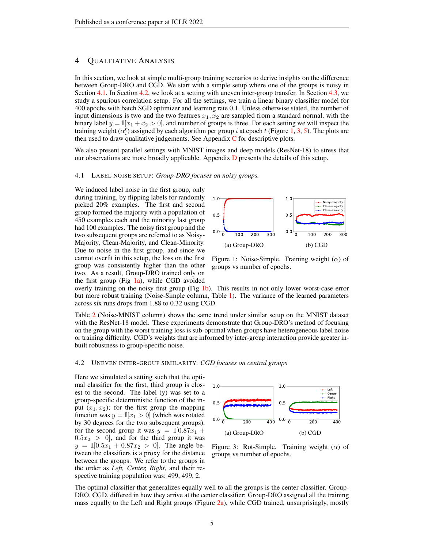### <span id="page-4-0"></span>4 QUALITATIVE ANALYSIS

In this section, we look at simple multi-group training scenarios to derive insights on the difference between Group-DRO and CGD. We start with a simple setup where one of the groups is noisy in Section [4.1.](#page-4-1) In Section [4.2,](#page-4-2) we look at a setting with uneven inter-group transfer. In Section [4.3,](#page-5-0) we study a spurious correlation setup. For all the settings, we train a linear binary classifier model for 400 epochs with batch SGD optimizer and learning rate 0.1. Unless otherwise stated, the number of input dimensions is two and the two features  $x_1, x_2$  are sampled from a standard normal, with the binary label  $y = \mathbb{I}[x_1 + x_2 > 0]$ , and number of groups is three. For each setting we will inspect the training weight  $(\alpha_i^t)$  assigned by each algorithm per group i at epoch t (Figure [1,](#page-4-3) [3,](#page-4-4) [5\)](#page-5-1). The plots are then used to draw qualitative judgements. See Appendix  $C$  for descriptive plots.

We also present parallel settings with MNIST images and deep models (ResNet-18) to stress that our observations are more broadly applicable. Appendix  $D$  presents the details of this setup.

#### <span id="page-4-1"></span>4.1 LABEL NOISE SETUP: *Group-DRO focuses on noisy groups.*

We induced label noise in the first group, only during training, by flipping labels for randomly picked 20% examples. The first and second group formed the majority with a population of 450 examples each and the minority last group had 100 examples. The noisy first group and the two subsequent groups are referred to as Noisy-Majority, Clean-Majority, and Clean-Minority. Due to noise in the first group, and since we cannot overfit in this setup, the loss on the first group was consistently higher than the other two. As a result, Group-DRO trained only on the first group (Fig  $1a$ ), while CGD avoided

<span id="page-4-3"></span>

Figure 1: Noise-Simple. Training weight  $(\alpha)$  of groups vs number of epochs.

overly training on the noisy first group (Fig [1b\)](#page-4-3). This results in not only lower worst-case error but more robust training (Noise-Simple column, Table [1\)](#page-5-2). The variance of the learned parameters across six runs drops from 1.88 to 0.32 using CGD.

Table [2](#page-5-3) (Noise-MNIST column) shows the same trend under similar setup on the MNIST dataset with the ResNet-18 model. These experiments demonstrate that Group-DRO's method of focusing on the group with the worst training loss is sub-optimal when groups have heterogeneous label noise or training difficulty. CGD's weights that are informed by inter-group interaction provide greater inbuilt robustness to group-specific noise.

#### <span id="page-4-2"></span>4.2 UNEVEN INTER-GROUP SIMILARITY: *CGD focuses on central groups*

Here we simulated a setting such that the optimal classifier for the first, third group is closest to the second. The label (y) was set to a group-specific deterministic function of the input  $(x_1, x_2)$ ; for the first group the mapping function was  $y = \mathbb{I}[x_1 > 0]$  (which was rotated by 30 degrees for the two subsequent groups), for the second group it was  $y = \mathbb{I}[0.87x_1 +$  $0.5x_2 > 0$ , and for the third group it was  $y = \mathbb{I}[0.5x_1 + 0.87x_2 > 0]$ . The angle between the classifiers is a proxy for the distance between the groups. We refer to the groups in the order as *Left, Center, Right*, and their respective training population was: 499, 499, 2.

<span id="page-4-4"></span>

Figure 3: Rot-Simple. Training weight  $(\alpha)$  of groups vs number of epochs.

The optimal classifier that generalizes equally well to all the groups is the center classifier. Group-DRO, CGD, differed in how they arrive at the center classifier: Group-DRO assigned all the training mass equally to the Left and Right groups (Figure [2a\)](#page-4-4), while CGD trained, unsurprisingly, mostly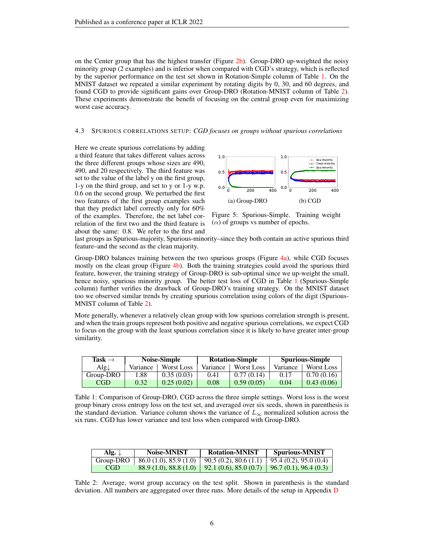on the Center group that has the highest transfer (Figure [2b\)](#page-4-4). Group-DRO up-weighted the noisy minority group (2 examples) and is inferior when compared with CGD's strategy, which is reflected by the superior performance on the test set shown in Rotation-Simple column of Table [1.](#page-5-2) On the MNIST dataset we repeated a similar experiment by rotating digits by 0, 30, and 60 degrees, and found CGD to provide significant gains over Group-DRO (Rotation-MNIST column of Table [2\)](#page-5-3). These experiments demonstrate the benefit of focusing on the central group even for maximizing worst case accuracy.

#### <span id="page-5-0"></span>4.3 SPURIOUS CORRELATIONS SETUP: *CGD focuses on groups without spurious correlations*

Here we create spurious correlations by adding a third feature that takes different values across the three different groups whose sizes are 490, 490, and 20 respectively. The third feature was set to the value of the label y on the first group, 1-y on the third group, and set to y or 1-y w.p. 0.6 on the second group. We perturbed the first two features of the first group examples such that they predict label correctly only for 60% of the examples. Therefore, the net label correlation of the first two and the third feature is about the same: 0.8. We refer to the first and

<span id="page-5-1"></span>

Figure 5: Spurious-Simple. Training weight  $(\alpha)$  of groups vs number of epochs.

last groups as Spurious-majority, Spurious-minority–since they both contain an active spurious third feature–and the second as the clean majority.

Group-DRO balances training between the two spurious groups (Figure [4a\)](#page-5-1), while CGD focuses mostly on the clean group (Figure [4b\)](#page-5-1). Both the training strategies could avoid the spurious third feature, however, the training strategy of Group-DRO is sub-optimal since we up-weight the small, hence noisy, spurious minority group. The better test loss of CGD in Table [1](#page-5-2) (Spurious-Simple column) further verifies the drawback of Group-DRO's training strategy. On the MNIST dataset too we observed similar trends by creating spurious correlation using colors of the digit (Spurious-MNIST column of Table [2\)](#page-5-3).

More generally, whenever a relatively clean group with low spurious correlation strength is present, and when the train groups represent both positive and negative spurious correlations, we expect CGD to focus on the group with the least spurious correlation since it is likely to have greater inter-group similarity.

<span id="page-5-2"></span>

| Task $\rightarrow$     | Noise-Simple |            | <b>Rotation-Simple</b> |                   | <b>Spurious-Simple</b> |            |
|------------------------|--------------|------------|------------------------|-------------------|------------------------|------------|
| $\text{Alg}\downarrow$ | Variance     | Worst Loss | Variance               | <b>Worst Loss</b> | Variance               | Worst Loss |
| Group-DRO              | 1.88         | 0.35(0.03) | 0.41                   | 0.77(0.14)        | 0.17                   | 0.70(0.16) |
| <b>CGD</b>             | 0.32         | 0.25(0.02) | 0.08                   | 0.59(0.05)        | 0.04                   | 0.43(0.06) |

Table 1: Comparison of Group-DRO, CGD across the three simple settings. Worst loss is the worst group binary cross entropy loss on the test set, and averaged over six seeds, shown in parenthesis is the standard deviation. Variance column shows the variance of  $L_{\infty}$  normalized solution across the six runs. CGD has lower variance and test loss when compared with Group-DRO.

<span id="page-5-3"></span>

| Alg. $\downarrow$ | Noise-MNIST          | <b>Rotation-MNIST</b>                           | <b>Spurious-MNIST</b>          |
|-------------------|----------------------|-------------------------------------------------|--------------------------------|
| Group-DRO         | 86.0(1.0), 85.9(1.0) | 90.5(0.2), 80.6(1.1)                            | $\vert$ 95.4 (0.2), 95.0 (0.4) |
| CGD.              | 88.9(1.0), 88.8(1.0) | $92.1(0.6), 85.0(0.7)$   96.7 (0.1), 96.4 (0.3) |                                |

Table 2: Average, worst group accuracy on the test split. Shown in parenthesis is the standard deviation. All numbers are aggregated over three runs. More details of the setup in Appendix [D](#page-13-1)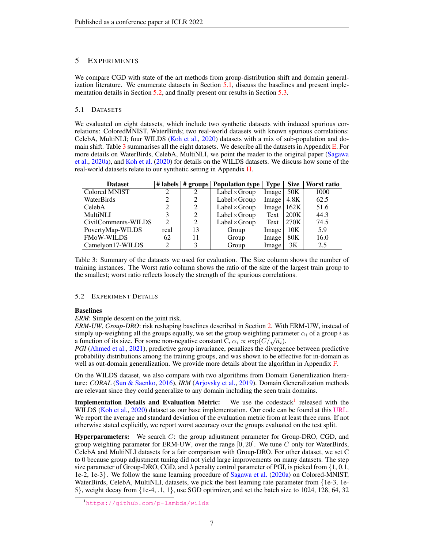## <span id="page-6-4"></span>5 EXPERIMENTS

We compare CGD with state of the art methods from group-distribution shift and domain generalization literature. We enumerate datasets in Section [5.1,](#page-6-0) discuss the baselines and present implementation details in Section [5.2,](#page-6-1) and finally present our results in Section [5.3.](#page-7-0)

### <span id="page-6-0"></span>5.1 DATASETS

We evaluated on eight datasets, which include two synthetic datasets with induced spurious correlations: ColoredMNIST, WaterBirds; two real-world datasets with known spurious correlations: CelebA, MultiNLI; four WILDS [\(Koh et al.,](#page-10-4) [2020\)](#page-10-4) datasets with a mix of sub-population and domain shift. Table [3](#page-6-2) summarises all the eight datasets. We describe all the datasets in Appendix [E.](#page-14-0) For more details on WaterBirds, CelebA, MultiNLI, we point the reader to the original paper [\(Sagawa](#page-10-0) [et al.,](#page-10-0) [2020a\)](#page-10-0), and [Koh et al.](#page-10-4) [\(2020\)](#page-10-4) for details on the WILDS datasets. We discuss how some of the real-world datasets relate to our synthetic setting in Appendix [H.](#page-16-0)

<span id="page-6-2"></span>

| <b>Dataset</b>      |                               |               | # labels   # groups   Population type | Type               | Size | Worst ratio |
|---------------------|-------------------------------|---------------|---------------------------------------|--------------------|------|-------------|
| Colored MNIST       | 2                             | $\mathcal{L}$ | $Label \times Group$                  | Image              | 50K  | 1000        |
| WaterBirds          |                               |               | $Label \times Group$                  | $Image \mid$       | 4.8K | 62.5        |
| CelebA              |                               | 2             | $Label \times Group$                  | Image $\vert$ 162K |      | 51.6        |
| <b>MultiNLI</b>     |                               | 2             | $Label \times Group$                  | Text               | 200K | 44.3        |
| CivilComments-WILDS | $\mathfrak{D}_{\mathfrak{p}}$ | 2             | $Label \times Group$                  | Text               | 270K | 74.5        |
| PovertyMap-WILDS    | real                          | 13            | Group                                 | Image <sup>1</sup> | 10K  | 5.9         |
| <b>FMoW-WILDS</b>   | 62                            | 11            | Group                                 | Image <sup>1</sup> | 80K  | 16.0        |
| Camelyon17-WILDS    | っ                             |               | Group                                 | Image              | 3K   | 2.5         |

Table 3: Summary of the datasets we used for evaluation. The Size column shows the number of training instances. The Worst ratio column shows the ratio of the size of the largest train group to the smallest; worst ratio reflects loosely the strength of the spurious correlations.

### <span id="page-6-1"></span>5.2 EXPERIMENT DETAILS

### Baselines

*ERM*: Simple descent on the joint risk.

*ERM-UW*, *Group-DRO*: risk reshaping baselines described in Section [2.](#page-1-0) With ERM-UW, instead of simply up-weighting all the groups equally, we set the group weighting parameter  $\alpha_i$  of a group i as simply up-weighting an the groups equally, we set the group weighting parally a function of its size. For some non-negative constant C,  $\alpha_i \propto \exp(C/\sqrt{n_i})$ .

*PGI* [\(Ahmed et al.,](#page-9-3) [2021\)](#page-9-3), predictive group invariance, penalizes the divergence between predictive probability distributions among the training groups, and was shown to be effective for in-domain as well as out-domain generalization. We provide more details about the algorithm in Appendix [F.](#page-15-0)

On the WILDS dataset, we also compare with two algorithms from Domain Generalization literature: *CORAL* [\(Sun & Saenko,](#page-10-5) [2016\)](#page-10-5), *IRM* [\(Arjovsky et al.,](#page-9-2) [2019\)](#page-9-2). Domain Generalization methods are relevant since they could generalize to any domain including the seen train domains.

Implementation Details and Evaluation Metric: We use the codestack<sup>1</sup> released with the WILDS [\(Koh et al.,](#page-10-4) [2020\)](#page-10-4) dataset as our base implementation. Our code can be found at this [URL.](https://github.com/vps-anonconfs/cg-iclr22) We report the average and standard deviation of the evaluation metric from at least three runs. If not otherwise stated explicitly, we report worst accuracy over the groups evaluated on the test split.

**Hyperparameters:** We search  $C$ : the group adjustment parameter for Group-DRO, CGD, and group weighting parameter for ERM-UW, over the range  $[0, 20]$ . We tune C only for WaterBirds, CelebA and MultiNLI datasets for a fair comparison with Group-DRO. For other dataset, we set C to 0 because group adjustment tuning did not yield large improvements on many datasets. The step size parameter of Group-DRO, CGD, and  $\lambda$  penalty control parameter of PGI, is picked from {1, 0.1, 1e-2, 1e-3}. We follow the same learning procedure of [Sagawa et al.](#page-10-0) [\(2020a\)](#page-10-0) on Colored-MNIST, WaterBirds, CelebA, MultiNLI, datasets, we pick the best learning rate parameter from  $\{1e-3, 1e-1\}$ 5}, weight decay from  $\{1e-4, 1, 1\}$ , use SGD optimizer, and set the batch size to 1024, 128, 64, 32

<span id="page-6-3"></span><sup>1</sup><https://github.com/p-lambda/wilds>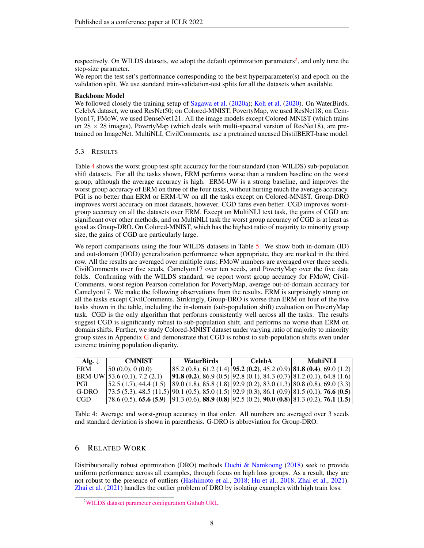respectively. On WILDS datasets, we adopt the default optimization parameters<sup>[2](#page-7-1)</sup>, and only tune the step-size parameter.

We report the test set's performance corresponding to the best hyperparameter(s) and epoch on the validation split. We use standard train-validation-test splits for all the datasets when available.

### Backbone Model

We followed closely the training setup of [Sagawa et al.](#page-10-0) [\(2020a\)](#page-10-0); [Koh et al.](#page-10-4) [\(2020\)](#page-10-4). On WaterBirds, CelebA dataset, we used ResNet50; on Colored-MNIST, PovertyMap, we used ResNet18; on Cemlyon17, FMoW, we used DenseNet121. All the image models except Colored-MNIST (which trains on  $28 \times 28$  images), PovertyMap (which deals with multi-spectral version of ResNet18), are pretrained on ImageNet. MultiNLI, CivilComments, use a pretrained uncased DistilBERT-base model.

### <span id="page-7-0"></span>5.3 RESULTS

Table [4](#page-7-2) shows the worst group test split accuracy for the four standard (non-WILDS) sub-population shift datasets. For all the tasks shown, ERM performs worse than a random baseline on the worst group, although the average accuracy is high. ERM-UW is a strong baseline, and improves the worst group accuracy of ERM on three of the four tasks, without hurting much the average accuracy. PGI is no better than ERM or ERM-UW on all the tasks except on Colored-MNIST. Group-DRO improves worst accuracy on most datasets, however, CGD fares even better. CGD improves worstgroup accuracy on all the datasets over ERM. Except on MultiNLI text task, the gains of CGD are significant over other methods, and on MultiNLI task the worst group accuracy of CGD is at least as good as Group-DRO. On Colored-MNIST, which has the highest ratio of majority to minority group size, the gains of CGD are particularly large.

We report comparisons using the four WILDS datasets in Table [5.](#page-8-0) We show both in-domain (ID) and out-domain (OOD) generalization performance when appropriate, they are marked in the third row. All the results are averaged over multiple runs; FMoW numbers are averaged over three seeds, CivilComments over five seeds, Camelyon17 over ten seeds, and PovertyMap over the five data folds. Confirming with the WILDS standard, we report worst group accuracy for FMoW, Civil-Comments, worst region Pearson correlation for PovertyMap, average out-of-domain accuracy for Camelyon17. We make the following observations from the results. ERM is surprisingly strong on all the tasks except CivilComments. Strikingly, Group-DRO is worse than ERM on four of the five tasks shown in the table, including the in-domain (sub-population shift) evaluation on PovertyMap task. CGD is the only algorithm that performs consistently well across all the tasks. The results suggest CGD is significantly robust to sub-population shift, and performs no worse than ERM on domain shifts. Further, we study Colored-MNIST dataset under varying ratio of majority to minority group sizes in Appendix [G](#page-15-1) and demonstrate that CGD is robust to sub-population shifts even under extreme training population disparity.

<span id="page-7-2"></span>

| Alg. $\downarrow$ | <b>CMNIST</b>                                                                                          | <b>WaterBirds</b>                                                                          | CelebA | <b>MultiNLI</b>                                                                      |  |
|-------------------|--------------------------------------------------------------------------------------------------------|--------------------------------------------------------------------------------------------|--------|--------------------------------------------------------------------------------------|--|
| ERM               | (50(0.0), 0(0.0))                                                                                      |                                                                                            |        | $85.2(0.8), 61.2(1.4)$ <b>95.2 (0.2)</b> , 45.2 (0.9) <b>81.8 (0.4)</b> , 69.0 (1.2) |  |
| <b>ERM-UW</b>     | $\left[53.6(0.1), 7.2(2.1)\right]$                                                                     | <b>91.8 (0.2)</b> , 86.9 (0.5) <b>92.8</b> (0.1), 84.3 (0.7) <b>81.2</b> (0.1), 64.8 (1.6) |        |                                                                                      |  |
| PGI               | $\vert$ 52.5 (1.7), 44.4 (1.5)                                                                         | $ 89.0(1.8), 85.8(1.8) 92.9(0.2), 83.0(1.3) 80.8(0.8), 69.0(3.3) $                         |        |                                                                                      |  |
| <b>G-DRO</b>      | $(73.5 (5.3), 48.5 (11.5)) [90.1 (0.5), 85.0 (1.5)) [92.9 (0.3), 86.1 (0.9)) [81.5 (0.1), 76.6 (0.5)]$ |                                                                                            |        |                                                                                      |  |
| CGD               | $ 78.6 (0.5), 65.6 (5.9)  91.3 (0.6), 88.9 (0.8)  92.5 (0.2), 90.0 (0.8)  81.3 (0.2), 76.1 (1.5) $     |                                                                                            |        |                                                                                      |  |

Table 4: Average and worst-group accuracy in that order. All numbers are averaged over 3 seeds and standard deviation is shown in parenthesis. G-DRO is abbreviation for Group-DRO.

### 6 RELATED WORK

Distributionally robust optimization (DRO) methods [Duchi & Namkoong](#page-9-4) [\(2018\)](#page-9-4) seek to provide uniform performance across all examples, through focus on high loss groups. As a result, they are not robust to the presence of outliers [\(Hashimoto et al.,](#page-9-5) [2018;](#page-9-5) [Hu et al.,](#page-9-6) [2018;](#page-9-6) [Zhai et al.,](#page-10-3) [2021\)](#page-10-3). [Zhai et al.](#page-10-3) [\(2021\)](#page-10-3) handles the outlier problem of DRO by isolating examples with high train loss.

<span id="page-7-1"></span><sup>2</sup>[WILDS dataset parameter configuration Github URL.](https://github.com/p-lambda/wilds/blob/747b774a8d7a89ae3bde3bc09f3998807dfbfea5/examples/configs/datasets.py)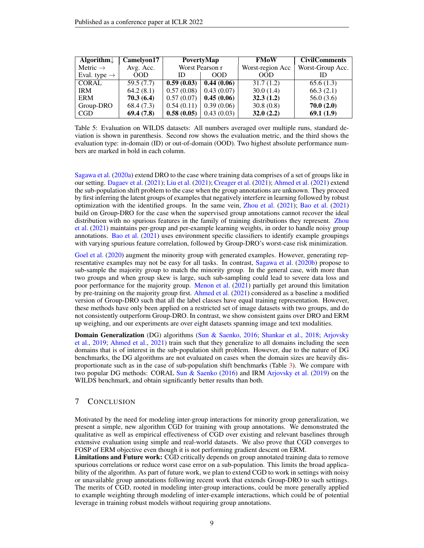<span id="page-8-0"></span>

| Algorithm $\downarrow$   | Camelyon17 | PovertyMap      |            | <b>FMoW</b>      | <b>CivilComments</b> |
|--------------------------|------------|-----------------|------------|------------------|----------------------|
| Metric $\rightarrow$     | Avg. Acc.  | Worst Pearson r |            | Worst-region Acc | Worst-Group Acc.     |
| Eval. type $\rightarrow$ | 00D        | ID              | <b>OOD</b> | 00D              |                      |
| <b>CORAL</b>             | 59.5(7.7)  | 0.59(0.03)      | 0.44(0.06) | 31.7(1.2)        | 65.6(1.3)            |
| <b>IRM</b>               | 64.2(8.1)  | 0.57(0.08)      | 0.43(0.07) | 30.0(1.4)        | 66.3(2.1)            |
| <b>ERM</b>               | 70.3(6.4)  | 0.57(0.07)      | 0.45(0.06) | 32.3(1.2)        | 56.0(3.6)            |
| Group-DRO                | 68.4(7.3)  | 0.54(0.11)      | 0.39(0.06) | 30.8(0.8)        | 70.0(2.0)            |
| CGD                      | 69.4(7.8)  | 0.58(0.05)      | 0.43(0.03) | 32.0(2.2)        | 69.1(1.9)            |

Table 5: Evaluation on WILDS datasets: All numbers averaged over multiple runs, standard deviation is shown in parenthesis. Second row shows the evaluation metric, and the third shows the evaluation type: in-domain (ID) or out-of-domain (OOD). Two highest absolute performance numbers are marked in bold in each column.

[Sagawa et al.](#page-10-0) [\(2020a\)](#page-10-0) extend DRO to the case where training data comprises of a set of groups like in our setting. [Dagaev et al.](#page-9-7) [\(2021\)](#page-9-7); [Liu et al.](#page-10-7) [\(2021\)](#page-10-7); [Creager et al.](#page-9-8) [\(2021\)](#page-9-8); [Ahmed et al.](#page-9-3) [\(2021\)](#page-9-3) extend the sub-population shift problem to the case when the group annotations are unknown. They proceed by first inferring the latent groups of examples that negatively interfere in learning followed by robust optimization with the identified groups. In the same vein, [Zhou et al.](#page-10-8) [\(2021\)](#page-10-8); [Bao et al.](#page-9-1) [\(2021\)](#page-9-1) build on Group-DRO for the case when the supervised group annotations cannot recover the ideal distribution with no spurious features in the family of training distributions they represent. [Zhou](#page-10-8) [et al.](#page-10-8) [\(2021\)](#page-10-8) maintains per-group and per-example learning weights, in order to handle noisy group annotations. [Bao et al.](#page-9-1) [\(2021\)](#page-9-1) uses environment specific classifiers to identify example groupings with varying spurious feature correlation, followed by Group-DRO's worst-case risk minimization.

[Goel et al.](#page-9-0) [\(2020\)](#page-9-0) augment the minority group with generated examples. However, generating representative examples may not be easy for all tasks. In contrast, [Sagawa et al.](#page-10-1) [\(2020b\)](#page-10-1) propose to sub-sample the majority group to match the minority group. In the general case, with more than two groups and when group skew is large, such sub-sampling could lead to severe data loss and poor performance for the majority group. [Menon et al.](#page-10-2) [\(2021\)](#page-10-2) partially get around this limitation by pre-training on the majority group first. [Ahmed et al.](#page-9-3) [\(2021\)](#page-9-3) considered as a baseline a modified version of Group-DRO such that all the label classes have equal training representation. However, these methods have only been applied on a restricted set of image datasets with two groups, and do not consistently outperform Group-DRO. In contrast, we show consistent gains over DRO and ERM up weighing, and our experiments are over eight datasets spanning image and text modalities.

**Domain Generalization** (DG) algorithms [\(Sun & Saenko,](#page-10-5) [2016;](#page-10-5) [Shankar et al.,](#page-10-6) [2018;](#page-10-6) [Arjovsky](#page-9-2) [et al.,](#page-9-2) [2019;](#page-9-2) [Ahmed et al.,](#page-9-3) [2021\)](#page-9-3) train such that they generalize to all domains including the seen domains that is of interest in the sub-population shift problem. However, due to the nature of DG benchmarks, the DG algorithms are not evaluated on cases when the domain sizes are heavily disproportionate such as in the case of sub-population shift benchmarks (Table [3\)](#page-6-2). We compare with two popular DG methods: CORAL [Sun & Saenko](#page-10-5) [\(2016\)](#page-10-5) and IRM [Arjovsky et al.](#page-9-2) [\(2019\)](#page-9-2) on the WILDS benchmark, and obtain significantly better results than both.

## 7 CONCLUSION

Motivated by the need for modeling inter-group interactions for minority group generalization, we present a simple, new algorithm CGD for training with group annotations. We demonstrated the qualitative as well as empirical effectiveness of CGD over existing and relevant baselines through extensive evaluation using simple and real-world datasets. We also prove that CGD converges to FOSP of ERM objective even though it is not performing gradient descent on ERM.

Limitations and Future work: CGD critically depends on group annotated training data to remove spurious correlations or reduce worst case error on a sub-population. This limits the broad applicability of the algorithm. As part of future work, we plan to extend CGD to work in settings with noisy or unavailable group annotations following recent work that extends Group-DRO to such settings. The merits of CGD, rooted in modeling inter-group interactions, could be more generally applied to example weighting through modeling of inter-example interactions, which could be of potential leverage in training robust models without requiring group annotations.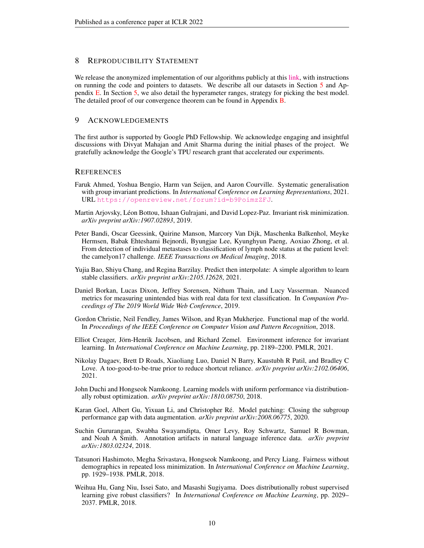### 8 REPRODUCIBILITY STATEMENT

We release the anonymized implementation of our algorithms publicly at this [link,](https://github.com/vps-anonconfs/cg-iclr22) with instructions on running the code and pointers to datasets. We describe all our datasets in Section [5](#page-6-4) and Appendix [E.](#page-14-0) In Section [5,](#page-6-4) we also detail the hyperameter ranges, strategy for picking the best model. The detailed proof of our convergence theorem can be found in Appendix [B.](#page-11-1)

### 9 ACKNOWLEDGEMENTS

The first author is supported by Google PhD Fellowship. We acknowledge engaging and insightful discussions with Divyat Mahajan and Amit Sharma during the initial phases of the project. We gratefully acknowledge the Google's TPU research grant that accelerated our experiments.

### **REFERENCES**

- <span id="page-9-3"></span>Faruk Ahmed, Yoshua Bengio, Harm van Seijen, and Aaron Courville. Systematic generalisation with group invariant predictions. In *International Conference on Learning Representations*, 2021. URL <https://openreview.net/forum?id=b9PoimzZFJ>.
- <span id="page-9-2"></span>Martin Arjovsky, Leon Bottou, Ishaan Gulrajani, and David Lopez-Paz. Invariant risk minimization. ´ *arXiv preprint arXiv:1907.02893*, 2019.
- <span id="page-9-12"></span>Peter Bandi, Oscar Geessink, Quirine Manson, Marcory Van Dijk, Maschenka Balkenhol, Meyke Hermsen, Babak Ehteshami Bejnordi, Byungjae Lee, Kyunghyun Paeng, Aoxiao Zhong, et al. From detection of individual metastases to classification of lymph node status at the patient level: the camelyon17 challenge. *IEEE Transactions on Medical Imaging*, 2018.
- <span id="page-9-1"></span>Yujia Bao, Shiyu Chang, and Regina Barzilay. Predict then interpolate: A simple algorithm to learn stable classifiers. *arXiv preprint arXiv:2105.12628*, 2021.
- <span id="page-9-10"></span>Daniel Borkan, Lucas Dixon, Jeffrey Sorensen, Nithum Thain, and Lucy Vasserman. Nuanced metrics for measuring unintended bias with real data for text classification. In *Companion Proceedings of The 2019 World Wide Web Conference*, 2019.
- <span id="page-9-11"></span>Gordon Christie, Neil Fendley, James Wilson, and Ryan Mukherjee. Functional map of the world. In *Proceedings of the IEEE Conference on Computer Vision and Pattern Recognition*, 2018.
- <span id="page-9-8"></span>Elliot Creager, Jörn-Henrik Jacobsen, and Richard Zemel. Environment inference for invariant learning. In *International Conference on Machine Learning*, pp. 2189–2200. PMLR, 2021.
- <span id="page-9-7"></span>Nikolay Dagaev, Brett D Roads, Xiaoliang Luo, Daniel N Barry, Kaustubh R Patil, and Bradley C Love. A too-good-to-be-true prior to reduce shortcut reliance. *arXiv preprint arXiv:2102.06406*, 2021.
- <span id="page-9-4"></span>John Duchi and Hongseok Namkoong. Learning models with uniform performance via distributionally robust optimization. *arXiv preprint arXiv:1810.08750*, 2018.
- <span id="page-9-0"></span>Karan Goel, Albert Gu, Yixuan Li, and Christopher Ré. Model patching: Closing the subgroup performance gap with data augmentation. *arXiv preprint arXiv:2008.06775*, 2020.
- <span id="page-9-9"></span>Suchin Gururangan, Swabha Swayamdipta, Omer Levy, Roy Schwartz, Samuel R Bowman, and Noah A Smith. Annotation artifacts in natural language inference data. *arXiv preprint arXiv:1803.02324*, 2018.
- <span id="page-9-5"></span>Tatsunori Hashimoto, Megha Srivastava, Hongseok Namkoong, and Percy Liang. Fairness without demographics in repeated loss minimization. In *International Conference on Machine Learning*, pp. 1929–1938. PMLR, 2018.
- <span id="page-9-6"></span>Weihua Hu, Gang Niu, Issei Sato, and Masashi Sugiyama. Does distributionally robust supervised learning give robust classifiers? In *International Conference on Machine Learning*, pp. 2029– 2037. PMLR, 2018.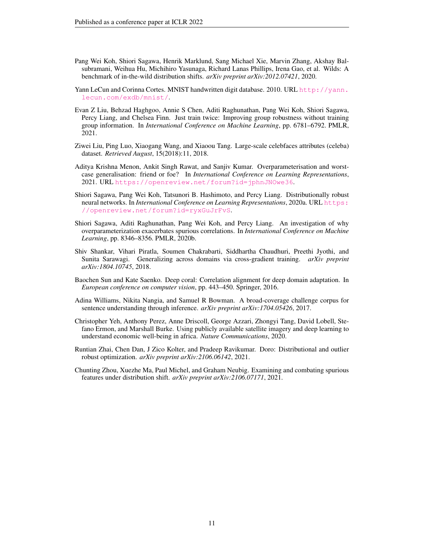- <span id="page-10-4"></span>Pang Wei Koh, Shiori Sagawa, Henrik Marklund, Sang Michael Xie, Marvin Zhang, Akshay Balsubramani, Weihua Hu, Michihiro Yasunaga, Richard Lanas Phillips, Irena Gao, et al. Wilds: A benchmark of in-the-wild distribution shifts. *arXiv preprint arXiv:2012.07421*, 2020.
- <span id="page-10-9"></span>Yann LeCun and Corinna Cortes. MNIST handwritten digit database. 2010. URL [http://yann.](http://yann.lecun.com/exdb/mnist/) [lecun.com/exdb/mnist/](http://yann.lecun.com/exdb/mnist/).
- <span id="page-10-7"></span>Evan Z Liu, Behzad Haghgoo, Annie S Chen, Aditi Raghunathan, Pang Wei Koh, Shiori Sagawa, Percy Liang, and Chelsea Finn. Just train twice: Improving group robustness without training group information. In *International Conference on Machine Learning*, pp. 6781–6792. PMLR, 2021.
- <span id="page-10-10"></span>Ziwei Liu, Ping Luo, Xiaogang Wang, and Xiaoou Tang. Large-scale celebfaces attributes (celeba) dataset. *Retrieved August*, 15(2018):11, 2018.
- <span id="page-10-2"></span>Aditya Krishna Menon, Ankit Singh Rawat, and Sanjiv Kumar. Overparameterisation and worstcase generalisation: friend or foe? In *International Conference on Learning Representations*, 2021. URL <https://openreview.net/forum?id=jphnJNOwe36>.
- <span id="page-10-0"></span>Shiori Sagawa, Pang Wei Koh, Tatsunori B. Hashimoto, and Percy Liang. Distributionally robust neural networks. In *International Conference on Learning Representations*, 2020a. URL [https:](https://openreview.net/forum?id=ryxGuJrFvS) [//openreview.net/forum?id=ryxGuJrFvS](https://openreview.net/forum?id=ryxGuJrFvS).
- <span id="page-10-1"></span>Shiori Sagawa, Aditi Raghunathan, Pang Wei Koh, and Percy Liang. An investigation of why overparameterization exacerbates spurious correlations. In *International Conference on Machine Learning*, pp. 8346–8356. PMLR, 2020b.
- <span id="page-10-6"></span>Shiv Shankar, Vihari Piratla, Soumen Chakrabarti, Siddhartha Chaudhuri, Preethi Jyothi, and Sunita Sarawagi. Generalizing across domains via cross-gradient training. *arXiv preprint arXiv:1804.10745*, 2018.
- <span id="page-10-5"></span>Baochen Sun and Kate Saenko. Deep coral: Correlation alignment for deep domain adaptation. In *European conference on computer vision*, pp. 443–450. Springer, 2016.
- <span id="page-10-11"></span>Adina Williams, Nikita Nangia, and Samuel R Bowman. A broad-coverage challenge corpus for sentence understanding through inference. *arXiv preprint arXiv:1704.05426*, 2017.
- <span id="page-10-12"></span>Christopher Yeh, Anthony Perez, Anne Driscoll, George Azzari, Zhongyi Tang, David Lobell, Stefano Ermon, and Marshall Burke. Using publicly available satellite imagery and deep learning to understand economic well-being in africa. *Nature Communications*, 2020.
- <span id="page-10-3"></span>Runtian Zhai, Chen Dan, J Zico Kolter, and Pradeep Ravikumar. Doro: Distributional and outlier robust optimization. *arXiv preprint arXiv:2106.06142*, 2021.
- <span id="page-10-8"></span>Chunting Zhou, Xuezhe Ma, Paul Michel, and Graham Neubig. Examining and combating spurious features under distribution shift. *arXiv preprint arXiv:2106.07171*, 2021.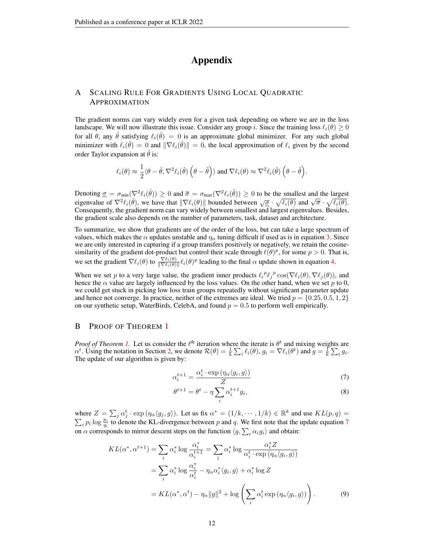# Appendix

# <span id="page-11-0"></span>A SCALING RULE FOR GRADIENTS USING LOCAL QUADRATIC APPROXIMATION

The gradient norms can vary widely even for a given task depending on where we are in the loss landscape. We will now illustrate this issue. Consider any group i. Since the training loss  $\ell_i(\theta) \geq 0$ for all  $\theta$ , any  $\hat{\theta}$  satisfying  $\ell_i(\hat{\theta}) = 0$  is an approximate global minimizer. For any such global minimizer with  $\ell_i(\hat{\theta}) = 0$  and  $\|\nabla \ell_i(\hat{\theta})\| = 0$ , the local approximation of  $\ell_i$  given by the second order Taylor expansion at  $\hat{\theta}$  is:

$$
\ell_i(\theta) \approx \frac{1}{2} \langle \theta - \hat{\theta}, \nabla^2 \ell_i(\hat{\theta}) \left(\theta - \hat{\theta}\right) \rangle \text{ and } \nabla \ell_i(\theta) \approx \nabla^2 \ell_i(\hat{\theta}) \left(\theta - \hat{\theta}\right).
$$

Denoting  $\underline{\sigma} = \sigma_{min}(\nabla^2 \ell_i(\hat{\theta})) \ge 0$  and  $\overline{\sigma} = \sigma_{max}(\nabla^2 \ell_i(\hat{\theta})) \ge 0$  to be the smallest and the largest Denoting  $\underline{\theta} = \theta_{min}(\nabla \ell_i(\theta)) \geq 0$  and  $\theta = \theta_{max}(\nabla \ell_i(\theta)) \geq 0$  to be the sinalist and the largest<br>eigenvalue of  $\nabla^2 \ell_i(\hat{\theta})$ , we have that  $\|\nabla \ell_i(\theta)\|$  bounded between  $\sqrt{\underline{\sigma}} \cdot \sqrt{\ell_i(\theta)}$  and  $\sqrt{\overline{\sigma}} \cdot \sqrt{\ell_i(\theta$ Consequently, the gradient norm can vary widely between smallest and largest eigenvalues. Besides, the gradient scale also depends on the number of parameters, task, dataset and architecture.

To summarize, we show that gradients are of the order of the loss, but can take a large spectrum of values, which makes the  $\alpha$  updates unstable and  $\eta_{\alpha}$  tuning difficult if used as is in equation [3.](#page-2-2) Since we are only interested in capturing if a group transfers positively or negatively, we retain the cosinesimilarity of the gradient dot-product but control their scale through  $\ell(\theta)^p$ , for some  $p > 0$ . That is, we set the gradient  $\nabla \ell_i(\theta)$  to  $\frac{\nabla \ell_i(\theta)}{\|\nabla \ell_i(\theta)\|} \ell_i(\theta)^p$  leading to the final  $\alpha$  update shown in equation [4.](#page-2-3)

When we set p to a very large value, the gradient inner products  $\ell_i^p \ell_j^p \cos(\nabla \ell_i(\theta), \nabla \ell_j(\theta))$ , and hence the  $\alpha$  value are largely influenced by the loss values. On the other hand, when we set p to 0, we could get stuck in picking low loss train groups repeatedly without significant parameter update and hence not converge. In practice, neither of the extremes are ideal. We tried  $p = \{0.25, 0.5, 1, 2\}$ on our synthetic setup, WaterBirds, CelebA, and found  $p = 0.5$  to perform well empirically.

### <span id="page-11-1"></span>B PROOF OF THEOREM [1](#page-3-0)

*Proof of Theorem [1.](#page-3-0)* Let us consider the  $t<sup>th</sup>$  iteration where the iterate is  $\theta^t$  and mixing weights are  $\alpha^t$ . Using the notation in Section [2,](#page-1-0) we denote  $\mathcal{R}(\theta) = \frac{1}{k} \sum_i \ell_i(\theta)$ ,  $g_i = \nabla \ell_i(\theta^t)$  and  $g = \frac{1}{k} \sum_i g_i$ . The update of our algorithm is given by:

$$
\alpha_i^{t+1} = \frac{\alpha_i^t \cdot \exp\left(\eta_\alpha \langle g_i, g \rangle\right)}{Z} \tag{7}
$$

<span id="page-11-4"></span><span id="page-11-3"></span><span id="page-11-2"></span>
$$
\theta^{t+1} = \theta^t - \eta \sum_i \alpha_i^{t+1} g_i,\tag{8}
$$

where  $Z = \sum_j \alpha_j^t \cdot \exp(\eta_\alpha \langle g_j, g \rangle)$ . Let us fix  $\alpha^* = (1/k, \dots, 1/k) \in \mathbb{R}^k$  and use  $KL(p, q) =$  $\sum_i p_i \log \frac{p_i}{q_i}$  to denote the KL-divergence between p and q. We first note that the update equation [7](#page-11-2) on  $\alpha$  corresponds to mirror descent steps on the function  $\langle g, \sum_i \alpha_i g_i \rangle$  and obtain:

$$
KL(\alpha^*, \alpha^{t+1}) = \sum_{i} \alpha_i^* \log \frac{\alpha_i^*}{\alpha_i^{t+1}} = \sum_{i} \alpha_i^* \log \frac{\alpha_i^* Z}{\alpha_i^t \cdot \exp (\eta_\alpha \langle g_i, g \rangle)}
$$
  
= 
$$
\sum_{i} \alpha_i^* \log \frac{\alpha_i^*}{\alpha_i^t} - \eta_\alpha \alpha_i^* \langle g_i, g \rangle + \alpha_i^* \log Z
$$
  
= 
$$
KL(\alpha^*, \alpha^t) - \eta_\alpha ||g||^2 + \log \left( \sum_{i} \alpha_i^t \exp (\eta_\alpha \langle g_i, g \rangle) \right).
$$
 (9)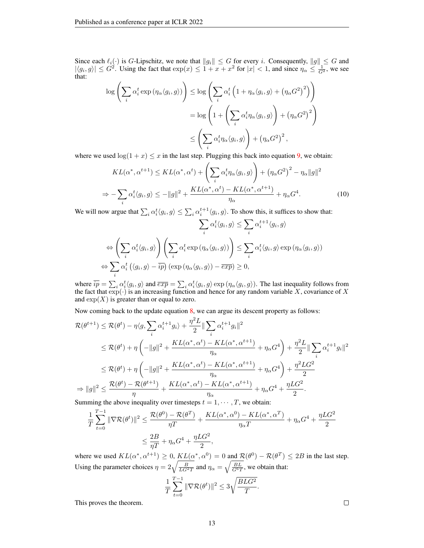Since each  $\ell_i(\cdot)$  is G-Lipschitz, we note that  $||g_i|| \leq G$  for every i. Consequently,  $||g|| \leq G$  and  $|\langle g_i, g \rangle| \leq G^2$ . Using the fact that  $\exp(x) \leq 1 + x + x^2$  for  $|x| < 1$ , and since  $\eta_\alpha \leq \frac{1}{G^2}$ , we see that:

$$
\log \left( \sum_{i} \alpha_{i}^{t} \exp \left( \eta_{\alpha} \langle g_{i}, g \rangle \right) \right) \leq \log \left( \sum_{i} \alpha_{i}^{t} \left( 1 + \eta_{\alpha} \langle g_{i}, g \rangle + \left( \eta_{\alpha} G^{2} \right)^{2} \right) \right)
$$

$$
= \log \left( 1 + \left( \sum_{i} \alpha_{i}^{t} \eta_{\alpha} \langle g_{i}, g \rangle \right) + \left( \eta_{\alpha} G^{2} \right)^{2} \right)
$$

$$
\leq \left( \sum_{i} \alpha_{i}^{t} \eta_{\alpha} \langle g_{i}, g \rangle \right) + \left( \eta_{\alpha} G^{2} \right)^{2},
$$

where we used  $\log(1 + x) \leq x$  in the last step. Plugging this back into equation [9,](#page-11-3) we obtain:

$$
KL(\alpha^*, \alpha^{t+1}) \le KL(\alpha^*, \alpha^t) + \left(\sum_i \alpha_i^t \eta_\alpha \langle g_i, g \rangle\right) + \left(\eta_\alpha G^2\right)^2 - \eta_\alpha \|g\|^2
$$
  
\n
$$
\Rightarrow -\sum_i \alpha_i^t \langle g_i, g \rangle \le -\|g\|^2 + \frac{KL(\alpha^*, \alpha^t) - KL(\alpha^*, \alpha^{t+1})}{\eta_\alpha} + \eta_\alpha G^4. \tag{10}
$$

We will now argue that  $\sum_i \alpha_i^t \langle g_i, g \rangle \le \sum_i \alpha_i^{t+1} \langle g_i, g \rangle$ . To show this, it suffices to show that:

$$
\sum_{i} \alpha_{i}^{t} \langle g_{i}, g \rangle \leq \sum_{i} \alpha_{i}^{t+1} \langle g_{i}, g \rangle
$$

$$
\Leftrightarrow \left( \sum_{i} \alpha_{i}^{t} \langle g_{i}, g \rangle \right) \left( \sum_{i} \alpha_{i}^{t} \exp \left( \eta_{\alpha} \langle g_{i}, g \rangle \right) \right) \leq \sum_{i} \alpha_{i}^{t} \langle g_{i}, g \rangle \exp \left( \eta_{\alpha} \langle g_{i}, g \rangle \right)
$$

$$
\Leftrightarrow \sum_{i} \alpha_{i}^{t} \left( \langle g_{i}, g \rangle - \overline{ip} \right) \left( \exp \left( \eta_{\alpha} \langle g_{i}, g \rangle \right) - \overline{exp} \right) \geq 0,
$$

where  $\overline{ip} = \sum_i \alpha_i^t \langle g_i, g \rangle$  and  $\overline{exp} = \sum_i \alpha_i^t \langle g_i, g \rangle \exp(\eta_\alpha \langle g_i, g \rangle)$ . The last inequality follows from the fact that  $\exp(\cdot)$  is an increasing function and hence for any random variable X, covariance of X and  $\exp(X)$  is greater than or equal to zero.

Now coming back to the update equation [8,](#page-11-4) we can argue its descent property as follows:

$$
\mathcal{R}(\theta^{t+1}) \leq \mathcal{R}(\theta^{t}) - \eta \langle g, \sum_{i} \alpha_{i}^{t+1} g_{i} \rangle + \frac{\eta^{2} L}{2} \|\sum_{i} \alpha_{i}^{t+1} g_{i}\|^{2}
$$
\n
$$
\leq \mathcal{R}(\theta^{t}) + \eta \left( -\|g\|^{2} + \frac{KL(\alpha^{*}, \alpha^{t}) - KL(\alpha^{*}, \alpha^{t+1})}{\eta_{\alpha}} + \eta_{\alpha} G^{4} \right) + \frac{\eta^{2} L}{2} \|\sum_{i} \alpha_{i}^{t+1} g_{i}\|^{2}
$$
\n
$$
\leq \mathcal{R}(\theta^{t}) + \eta \left( -\|g\|^{2} + \frac{KL(\alpha^{*}, \alpha^{t}) - KL(\alpha^{*}, \alpha^{t+1})}{\eta_{\alpha}} + \eta_{\alpha} G^{4} \right) + \frac{\eta^{2} LG^{2}}{2}
$$
\n
$$
\Rightarrow \|g\|^{2} \leq \frac{\mathcal{R}(\theta^{t}) - \mathcal{R}(\theta^{t+1})}{\eta_{\alpha}} + \frac{KL(\alpha^{*}, \alpha^{t}) - KL(\alpha^{*}, \alpha^{t+1})}{\eta_{\alpha}} + \eta_{\alpha} G^{4} + \frac{\eta LG^{2}}{2}.
$$

Summing the above inequality over timesteps  $t = 1, \dots, T$ , we obtain:

$$
\frac{1}{T} \sum_{t=0}^{T-1} \|\nabla \mathcal{R}(\theta^t)\|^2 \le \frac{\mathcal{R}(\theta^0) - \mathcal{R}(\theta^T)}{\eta T} + \frac{KL(\alpha^*, \alpha^0) - KL(\alpha^*, \alpha^T)}{\eta_\alpha T} + \eta_\alpha G^4 + \frac{\eta LG^2}{2}
$$

$$
\le \frac{2B}{\eta T} + \eta_\alpha G^4 + \frac{\eta LG^2}{2},
$$

where we used  $KL(\alpha^*, \alpha^{t+1}) \ge 0$ ,  $KL(\alpha^*, \alpha^0) = 0$  and  $\mathcal{R}(\theta^0) - \mathcal{R}(\theta^T) \le 2B$  in the last step. Using the parameter choices  $\eta = 2\sqrt{\frac{B}{LG^2T}}$  and  $\eta_{\alpha} = \sqrt{\frac{BL}{G^6T}}$ , we obtain that:

$$
\frac{1}{T}\sum_{t=0}^{T-1}\|\nabla\mathcal{R}(\theta^t)\|^2\leq 3\sqrt{\frac{BLG^2}{T}}.
$$

This proves the theorem.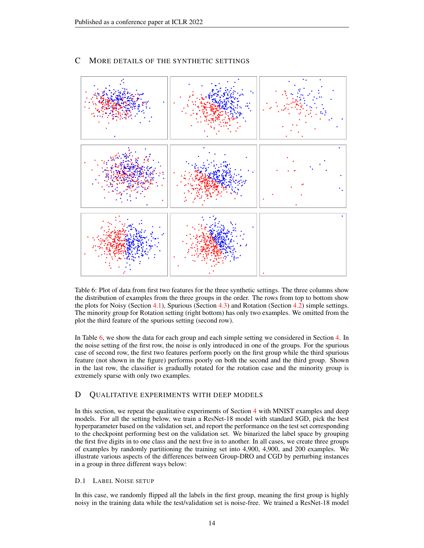<span id="page-13-2"></span>

# <span id="page-13-0"></span>C MORE DETAILS OF THE SYNTHETIC SETTINGS

Table 6: Plot of data from first two features for the three synthetic settings. The three columns show the distribution of examples from the three groups in the order. The rows from top to bottom show the plots for Noisy (Section [4.1\)](#page-4-1), Spurious (Section [4.3\)](#page-5-0) and Rotation (Section [4.2\)](#page-4-2) simple settings. The minority group for Rotation setting (right bottom) has only two examples. We omitted from the plot the third feature of the spurious setting (second row).

In Table [6,](#page-13-2) we show the data for each group and each simple setting we considered in Section [4.](#page-4-0) In the noise setting of the first row, the noise is only introduced in one of the groups. For the spurious case of second row, the first two features perform poorly on the first group while the third spurious feature (not shown in the figure) performs poorly on both the second and the third group. Shown in the last row, the classifier is gradually rotated for the rotation case and the minority group is extremely sparse with only two examples.

### <span id="page-13-1"></span>D QUALITATIVE EXPERIMENTS WITH DEEP MODELS

In this section, we repeat the qualitative experiments of Section [4](#page-4-0) with MNIST examples and deep models. For all the setting below, we train a ResNet-18 model with standard SGD, pick the best hyperparameter based on the validation set, and report the performance on the test set corresponding to the checkpoint performing best on the validation set. We binarized the label space by grouping the first five digits in to one class and the next five in to another. In all cases, we create three groups of examples by randomly partitioning the training set into 4,900, 4,900, and 200 examples. We illustrate various aspects of the differences between Group-DRO and CGD by perturbing instances in a group in three different ways below:

#### D.1 LABEL NOISE SETUP

In this case, we randomly flipped all the labels in the first group, meaning the first group is highly noisy in the training data while the test/validation set is noise-free. We trained a ResNet-18 model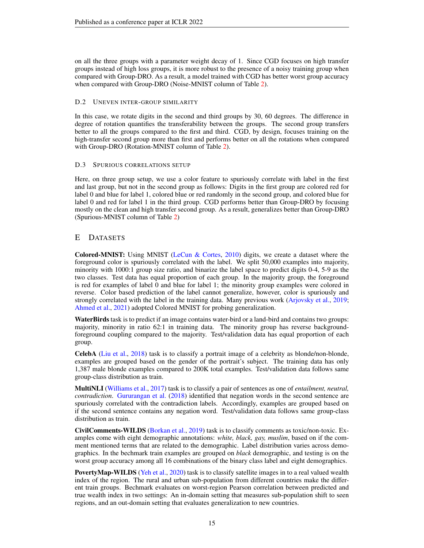on all the three groups with a parameter weight decay of 1. Since CGD focuses on high transfer groups instead of high loss groups, it is more robust to the presence of a noisy training group when compared with Group-DRO. As a result, a model trained with CGD has better worst group accuracy when compared with Group-DRO (Noise-MNIST column of Table [2\)](#page-5-3).

### D.2 UNEVEN INTER-GROUP SIMILARITY

In this case, we rotate digits in the second and third groups by 30, 60 degrees. The difference in degree of rotation quantifies the transferability between the groups. The second group transfers better to all the groups compared to the first and third. CGD, by design, focuses training on the high-transfer second group more than first and performs better on all the rotations when compared with Group-DRO (Rotation-MNIST column of Table [2\)](#page-5-3).

### D.3 SPURIOUS CORRELATIONS SETUP

Here, on three group setup, we use a color feature to spuriously correlate with label in the first and last group, but not in the second group as follows: Digits in the first group are colored red for label 0 and blue for label 1, colored blue or red randomly in the second group, and colored blue for label 0 and red for label 1 in the third group. CGD performs better than Group-DRO by focusing mostly on the clean and high transfer second group. As a result, generalizes better than Group-DRO (Spurious-MNIST column of Table [2\)](#page-5-3)

# <span id="page-14-0"></span>E DATASETS

Colored-MNIST: Using MNIST [\(LeCun & Cortes,](#page-10-9) [2010\)](#page-10-9) digits, we create a dataset where the foreground color is spuriously correlated with the label. We split 50,000 examples into majority, minority with 1000:1 group size ratio, and binarize the label space to predict digits 0-4, 5-9 as the two classes. Test data has equal proportion of each group. In the majority group, the foreground is red for examples of label 0 and blue for label 1; the minority group examples were colored in reverse. Color based prediction of the label cannot generalize, however, color is spuriously and strongly correlated with the label in the training data. Many previous work [\(Arjovsky et al.,](#page-9-2) [2019;](#page-9-2) [Ahmed et al.,](#page-9-3) [2021\)](#page-9-3) adopted Colored MNIST for probing generalization.

WaterBirds task is to predict if an image contains water-bird or a land-bird and contains two groups: majority, minority in ratio 62:1 in training data. The minority group has reverse backgroundforeground coupling compared to the majority. Test/validation data has equal proportion of each group.

CelebA [\(Liu et al.,](#page-10-10) [2018\)](#page-10-10) task is to classify a portrait image of a celebrity as blonde/non-blonde, examples are grouped based on the gender of the portrait's subject. The training data has only 1,387 male blonde examples compared to 200K total examples. Test/validation data follows same group-class distribution as train.

MultiNLI [\(Williams et al.,](#page-10-11) [2017\)](#page-10-11) task is to classify a pair of sentences as one of *entailment, neutral, contradiction*. [Gururangan et al.](#page-9-9) [\(2018\)](#page-9-9) identified that negation words in the second sentence are spuriously correlated with the contradiction labels. Accordingly, examples are grouped based on if the second sentence contains any negation word. Test/validation data follows same group-class distribution as train.

CivilComments-WILDS [\(Borkan et al.,](#page-9-10) [2019\)](#page-9-10) task is to classify comments as toxic/non-toxic. Examples come with eight demographic annotations: *white, black, gay, muslim*, based on if the comment mentioned terms that are related to the demographic. Label distribution varies across demographics. In the bechmark train examples are grouped on *black* demographic, and testing is on the worst group accuracy among all 16 combinations of the binary class label and eight demographics.

**PovertyMap-WILDS** [\(Yeh et al.,](#page-10-12) [2020\)](#page-10-12) task is to classify satellite images in to a real valued wealth index of the region. The rural and urban sub-population from different countries make the different train groups. Bechmark evaluates on worst-region Pearson correlation between predicted and true wealth index in two settings: An in-domain setting that measures sub-population shift to seen regions, and an out-domain setting that evaluates generalization to new countries.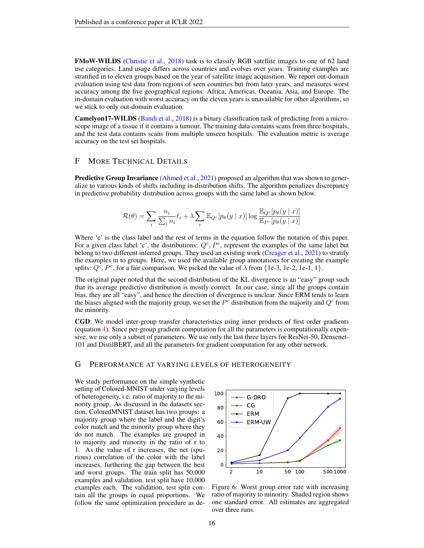FMoW-WILDS [\(Christie et al.,](#page-9-11) [2018\)](#page-9-11) task is to classify RGB satellite images to one of 62 land use categories. Land usage differs across countries and evolves over years. Training examples are stratified in to eleven groups based on the year of satellite image acquisition. We report out-domain evaluation using test data from regions of seen countries but from later years, and measures worst accuracy among the five geographical regions: Africa, Americas, Oceania, Asia, and Europe. The in-domain evaluation with worst accuracy on the eleven years is unavailable for other algorithms, so we stick to only out-domain evaluation.

Camelyon17-WILDS [\(Bandi et al.,](#page-9-12) [2018\)](#page-9-12) is a binary classification task of predicting from a microscope image of a tissue if it contains a tumour. The training data contains scans from three hospitals, and the test data contains scans from multiple unseen hospitals. The evaluation metric is average accuracy on the test set hospitals.

### <span id="page-15-0"></span>F MORE TECHNICAL DETAILS

Predictive Group Invariance [\(Ahmed et al.,](#page-9-3) [2021\)](#page-9-3) proposed an algorithm that was shown to generalize to various kinds of shifts including in-distribution shifts. The algorithm penalizes discrepancy in predictive probability distribution across groups with the same label as shown below.

$$
\mathcal{R}(\theta) = \sum_{i} \frac{n_i}{\sum_i n_i} \ell_i + \lambda \sum_c \mathbb{E}_{Q^c}[p_\theta(y \mid x)] \log \frac{\mathbb{E}_{Q^c}[p_\theta(y \mid x)]}{\mathbb{E}_{P^c}[p_\theta(y \mid x)]}
$$

Where 'c' is the class label and the rest of terms in the equation follow the notation of this paper. For a given class label 'c', the distributions:  $Q^c$ ,  $P^c$ , represent the examples of the same label but belong to two different inferred groups. They used an existing work [\(Creager et al.,](#page-9-8) [2021\)](#page-9-8) to stratify the examples in to groups. Here, we used the available group annotations for creating the example splits:  $Q^c$ ,  $P^c$ , for a fair comparison. We picked the value of  $\lambda$  from {1e-3, 1e-2, 1e-1, 1}.

The original paper noted that the second distribution of the KL divergence is an "easy" group such that its average predictive distribution is mostly correct. In our case, since all the groups contain bias, they are all "easy", and hence the direction of divergence is unclear. Since ERM tends to learn the biases aligned with the majority group, we set the  $P<sup>c</sup>$  distribution from the majority and  $Q<sup>c</sup>$  from the minority.

CGD: We model inter-group transfer characteristics using inner products of first order gradients (equation [4\)](#page-2-3). Since per-group gradient computation for all the parameters is computationally expensive, we use only a subset of parameters. We use only the last three layers for ResNet-50, Densenet-101 and DistilBERT, and all the parameters for gradient computation for any other network.

### <span id="page-15-1"></span>G PERFORMANCE AT VARYING LEVELS OF HETEROGENEITY

We study performance on the simple synthetic setting of Colored-MNIST under varying levels of heterogeneity, i.e. ratio of majority to the minority group. As discussed in the datasets section, ColoredMNIST dataset has two groups: a majority group where the label and the digit's color match and the minority group where they do not match. The examples are grouped in to majority and minority in the ratio of r to 1. As the value of r increases, the net (spurious) correlation of the color with the label increases, furthering the gap between the best and worst groups. The train split has 50,000 examples and validation, test split have 10,000 examples each. The validation, test split contain all the groups in equal proportions. We follow the same optimization procedure as de-

<span id="page-15-2"></span>

Figure 6: Worst group error rate with increasing ratio of majority to minority. Shaded region shows one standard error. All estimates are aggregated over three runs.